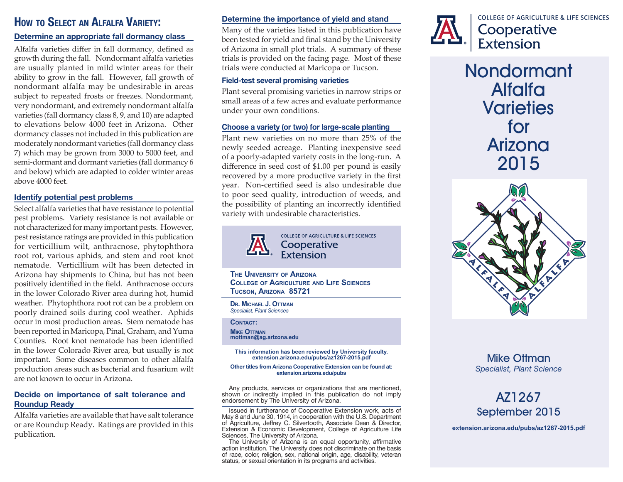# **How to Select an Alfalfa Variety:**

### **Determine an appropriate fall dormancy class**

Alfalfa varieties differ in fall dormancy, defined as growth during the fall. Nondormant alfalfa varieties are usually planted in mild winter areas for their ability to grow in the fall. However, fall growth of nondormant alfalfa may be undesirable in areas subject to repeated frosts or freezes. Nondormant, very nondormant, and extremely nondormant alfalfa varieties (fall dormancy class 8, 9, and 10) are adapted to elevations below 4000 feet in Arizona. Other dormancy classes not included in this publication are moderately nondormant varieties (fall dormancy class 7) which may be grown from 3000 to 5000 feet, and semi-dormant and dormant varieties (fall dormancy 6 and below) which are adapted to colder winter areas above 4000 feet.

#### **Identify potential pest problems**

Select alfalfa varieties that have resistance to potential pest problems. Variety resistance is not available or not characterized for many important pests. However, pest resistance ratings are provided in this publication for verticillium wilt, anthracnose, phytophthora root rot, various aphids, and stem and root knot nematode. Verticillium wilt has been detected in Arizona hay shipments to China, but has not been positively identified in the field. Anthracnose occurs in the lower Colorado River area during hot, humid weather. Phytophthora root rot can be a problem on poorly drained soils during cool weather. Aphids occur in most production areas. Stem nematode has been reported in Maricopa, Pinal, Graham, and Yuma Counties. Root knot nematode has been identified in the lower Colorado River area, but usually is not important. Some diseases common to other alfalfa production areas such as bacterial and fusarium wilt are not known to occur in Arizona.

### **Decide on importance of salt tolerance and Roundup Ready**

Alfalfa varieties are available that have salt tolerance or are Roundup Ready. Ratings are provided in this publication.

#### **Determine the importance of yield and stand**

Many of the varieties listed in this publication have been tested for yield and final stand by the University of Arizona in small plot trials. A summary of these trials is provided on the facing page. Most of these trials were conducted at Maricopa or Tucson.

#### **Field-test several promising varieties**

Plant several promising varieties in narrow strips or small areas of a few acres and evaluate performance under your own conditions.

### **Choose a variety (or two) for large-scale planting**

Plant new varieties on no more than 25% of the newly seeded acreage. Planting inexpensive seed of a poorly-adapted variety costs in the long-run. A difference in seed cost of \$1.00 per pound is easily recovered by a more productive variety in the first year. Non-certified seed is also undesirable due to poor seed quality, introduction of weeds, and the possibility of planting an incorrectly identified variety with undesirable characteristics.



COLLEGE OF AGRICULTURE & LIFE SCIENCES Cooperative Extension

**The University of Arizona College of Agriculture and Life Sciences Tucson, Arizona 85721**

**Dr. Michael J. Ottman** *Specialist, Plant Sciences*

**Contact:**

**Mike Ottman mottman@ag.arizona.edu**

**This information has been reviewed by University faculty. extension.arizona.edu/pubs/az1267-2015.pdf**

#### **Other titles from Arizona Cooperative Extension can be found at: extension.arizona.edu/pubs**

Any products, services or organizations that are mentioned, shown or indirectly implied in this publication do not imply endorsement by The University of Arizona.

Issued in furtherance of Cooperative Extension work, acts of May 8 and June 30, 1914, in cooperation with the U.S. Department of Agriculture, Jeffrey C. Silvertooth, Associate Dean & Director, Extension & Economic Development, College of Agriculture Life Sciences, The University of Arizona.

The University of Arizona is an equal opportunity, affirmative action institution. The University does not discriminate on the basis of race, color, religion, sex, national origin, age, disability, veteran status, or sexual orientation in its programs and activities.



**COLLEGE OF AGRICULTURE & LIFE SCIENCES** Cooperative Extension

**Nondormant Alfalfa Varieties for Arizona 2015**



# **Mike Ottman** *Specialist, Plant Science*

# **AZ1267 September 2015**

**extension.arizona.edu/pubs/az1267-2015.pdf**